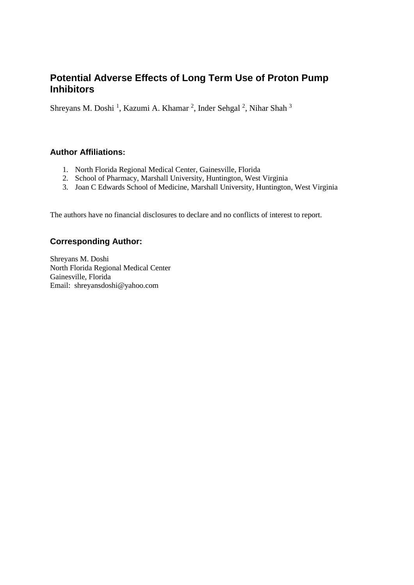# **Potential Adverse Effects of Long Term Use of Proton Pump Inhibitors**

Shreyans M. Doshi<sup>1</sup>, Kazumi A. Khamar<sup>2</sup>, Inder Sehgal<sup>2</sup>, Nihar Shah<sup>3</sup>

#### **Author Affiliations:**

- 1. North Florida Regional Medical Center, Gainesville, Florida
- 2. School of Pharmacy, Marshall University, Huntington, West Virginia
- 3. Joan C Edwards School of Medicine, Marshall University, Huntington, West Virginia

The authors have no financial disclosures to declare and no conflicts of interest to report.

#### **Corresponding Author:**

Shreyans M. Doshi North Florida Regional Medical Center Gainesville, Florida Email: shreyansdoshi@yahoo.com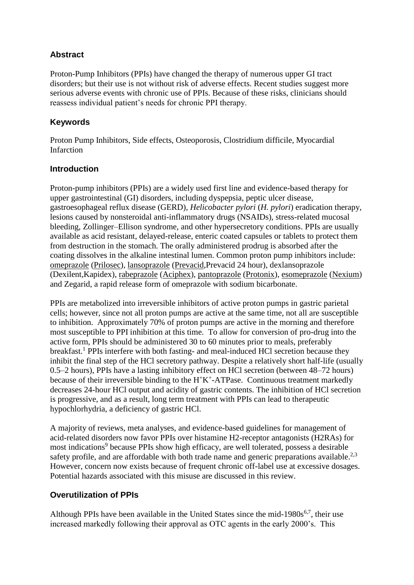# **Abstract**

Proton-Pump Inhibitors (PPIs) have changed the therapy of numerous upper GI tract disorders; but their use is not without risk of adverse effects. Recent studies suggest more serious adverse events with chronic use of PPIs. Because of these risks, clinicians should reassess individual patient's needs for chronic PPI therapy.

# **Keywords**

Proton Pump Inhibitors, Side effects, Osteoporosis, Clostridium difficile, Myocardial Infarction

# **Introduction**

Proton-pump inhibitors (PPIs) are a widely used first line and evidence-based therapy for upper gastrointestinal (GI) disorders, including dyspepsia, peptic ulcer disease, gastroesophageal reflux disease (GERD), *Helicobacter pylori* (*H. pylori*) eradication therapy, lesions caused by nonsteroidal anti-inflammatory drugs (NSAIDs), stress-related mucosal bleeding, Zollinger–Ellison syndrome, and other hypersecretory conditions. PPIs are usually available as acid resistant, delayed-release, enteric coated capsules or tablets to protect them from destruction in the stomach. The orally administered prodrug is absorbed after the coating dissolves in the alkaline intestinal lumen. Common proton pump inhibitors include: [omeprazole](http://www.medicinenet.com/omeprazole/article.htm) [\(Prilosec\)](http://www.medicinenet.com/omeprazole/article.htm), [lansoprazole](http://www.medicinenet.com/lansoprazole/article.htm) [\(Prevacid,](http://www.medicinenet.com/lansoprazole/article.htm)Prevacid 24 hour), dexlansoprazole (Dexilent,Kapidex), [rabeprazole](http://www.medicinenet.com/rabeprazole/article.htm) [\(Aciphex\)](http://www.medicinenet.com/rabeprazole/article.htm), [pantoprazole](http://www.medicinenet.com/pantoprazole/article.htm) [\(Protonix\)](http://www.medicinenet.com/pantoprazole/article.htm), [esomeprazole](http://www.medicinenet.com/esomeprazole/article.htm) [\(Nexium\)](http://www.medicinenet.com/esomeprazole/article.htm) and Zegarid, a rapid release form of omeprazole with sodium bicarbonate.

PPIs are metabolized into irreversible inhibitors of active proton pumps in gastric parietal cells; however, since not all proton pumps are active at the same time, not all are susceptible to inhibition. Approximately 70% of proton pumps are active in the morning and therefore most susceptible to PPI inhibition at this time. To allow for conversion of pro-drug into the active form, PPIs should be administered 30 to 60 minutes prior to meals, preferably breakfast.<sup>1</sup> PPIs interfere with both fasting- and meal-induced HCl secretion because they inhibit the final step of the HCl secretory pathway. Despite a relatively short half-life (usually 0.5–2 hours), PPIs have a lasting inhibitory effect on HCl secretion (between 48–72 hours) because of their irreversible binding to the  $H^+K^+$ -ATPase. Continuous treatment markedly decreases 24-hour HCl output and acidity of gastric contents. The inhibition of HCl secretion is progressive, and as a result, long term treatment with PPIs can lead to therapeutic hypochlorhydria, a deficiency of gastric HCl.

A majority of reviews, meta analyses, and evidence-based guidelines for management of acid-related disorders now favor PPIs over histamine H2-receptor antagonists (H2RAs) for most indications<sup>9</sup> because PPIs show high efficacy, are well tolerated, possess a desirable safety profile, and are affordable with both trade name and generic preparations available.<sup>2,3</sup> However, concern now exists because of frequent chronic off-label use at excessive dosages. Potential hazards associated with this misuse are discussed in this review.

# **Overutilization of PPIs**

Although PPIs have been available in the United States since the mid-1980 $s^{6,7}$ , their use increased markedly following their approval as OTC agents in the early 2000's. This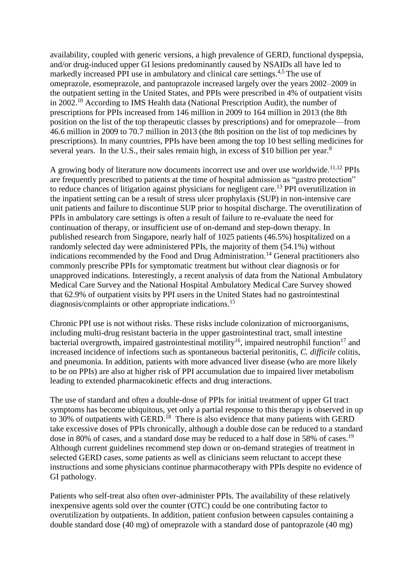availability, coupled with generic versions, a high prevalence of GERD, functional dyspepsia, and/or drug-induced upper GI lesions predominantly caused by NSAIDs all have led to markedly increased PPI use in ambulatory and clinical care settings.<sup>4,5</sup> The use of omeprazole, esomeprazole, and pantoprazole increased largely over the years 2002–2009 in the outpatient setting in the United States, and PPIs were prescribed in 4% of outpatient visits in 2002.<sup>10</sup> According to IMS Health data (National Prescription Audit), the number of prescriptions for PPIs increased from 146 million in 2009 to 164 million in 2013 (the 8th position on the list of the top therapeutic classes by prescriptions) and for omeprazole—from 46.6 million in 2009 to 70.7 million in 2013 (the 8th position on the list of top medicines by prescriptions). In many countries, PPIs have been among the top 10 best selling medicines for several years. In the U.S., their sales remain high, in excess of \$10 billion per year. $8$ 

A growing body of literature now documents incorrect use and over use worldwide.11,12 PPIs are frequently prescribed to patients at the time of hospital admission as "gastro protection" to reduce chances of litigation against physicians for negligent care.<sup>13</sup> PPI overutilization in the inpatient setting can be a result of stress ulcer prophylaxis (SUP) in non-intensive care unit patients and failure to discontinue SUP prior to hospital discharge. The overutilization of PPIs in ambulatory care settings is often a result of failure to re-evaluate the need for continuation of therapy, or insufficient use of on-demand and step-down therapy. In published research from Singapore, nearly half of 1025 patients (46.5%) hospitalized on a randomly selected day were administered PPIs, the majority of them (54.1%) without indications recommended by the Food and Drug Administration.<sup>14</sup> General practitioners also commonly prescribe PPIs for symptomatic treatment but without clear diagnosis or for unapproved indications. Interestingly, a recent analysis of data from the National Ambulatory Medical Care Survey and the National Hospital Ambulatory Medical Care Survey showed that 62.9% of outpatient visits by PPI users in the United States had no gastrointestinal diagnosis/complaints or other appropriate indications.<sup>15</sup>

Chronic PPI use is not without risks. These risks include colonization of microorganisms, including multi-drug resistant bacteria in the upper gastrointestinal tract, small intestine bacterial overgrowth, impaired gastrointestinal motility<sup>16</sup>, impaired neutrophil function<sup>17</sup> and increased incidence of infections such as spontaneous bacterial peritonitis, *C. difficile* colitis, and pneumonia. In addition, patients with more advanced liver disease (who are more likely to be on PPIs) are also at higher risk of PPI accumulation due to impaired liver metabolism leading to extended pharmacokinetic effects and drug interactions.

The use of standard and often a double-dose of PPIs for initial treatment of upper GI tract symptoms has become ubiquitous, yet only a partial response to this therapy is observed in up to 30% of outpatients with GERD.<sup>18</sup> There is also evidence that many patients with GERD take excessive doses of PPIs chronically, although a double dose can be reduced to a standard dose in 80% of cases, and a standard dose may be reduced to a half dose in 58% of cases.<sup>19</sup> Although current guidelines recommend step down or on-demand strategies of treatment in selected GERD cases, some patients as well as clinicians seem reluctant to accept these instructions and some physicians continue pharmacotherapy with PPIs despite no evidence of GI pathology.

Patients who self-treat also often over-administer PPIs. The availability of these relatively inexpensive agents sold over the counter (OTC) could be one contributing factor to overutilization by outpatients. In addition, patient confusion between capsules containing a double standard dose (40 mg) of omeprazole with a standard dose of pantoprazole (40 mg)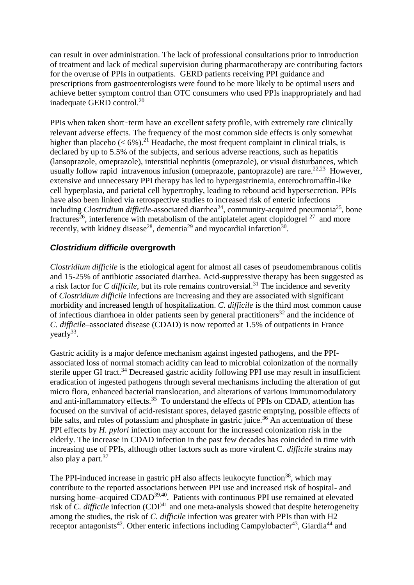can result in over administration. The lack of professional consultations prior to introduction of treatment and lack of medical supervision during pharmacotherapy are contributing factors for the overuse of PPIs in outpatients. GERD patients receiving PPI guidance and prescriptions from gastroenterologists were found to be more likely to be optimal users and achieve better symptom control than OTC consumers who used PPIs inappropriately and had inadequate GERD control.<sup>20</sup>

PPIs when taken short-term have an excellent safety profile, with extremely rare clinically relevant adverse effects. The frequency of the most common side effects is only somewhat higher than placebo ( $\lt 6\%$ ).<sup>21</sup> Headache, the most frequent complaint in clinical trials, is declared by up to 5.5% of the subjects, and serious adverse reactions, such as hepatitis (lansoprazole, omeprazole), interstitial nephritis (omeprazole), or visual disturbances, which usually follow rapid intravenous infusion (omeprazole, pantoprazole) are rare. $22,23$  However, extensive and unnecessary PPI therapy has led to hypergastrinemia, enterochromaffin-like cell hyperplasia, and parietal cell hypertrophy, leading to rebound acid hypersecretion. PPIs have also been linked via retrospective studies to increased risk of enteric infections including *Clostridium difficile*-associated diarrhea<sup>24</sup>, community-acquired pneumonia<sup>25</sup>, bone fractures<sup>26</sup>, interference with metabolism of the antiplatelet agent clopidogrel  $27$  and more recently, with kidney disease<sup>28</sup>, dementia<sup>29</sup> and myocardial infarction<sup>30</sup>.

#### *Clostridium difficile* **overgrowth**

*Clostridium difficile* is the etiological agent for almost all cases of pseudomembranous colitis and 15-25% of antibiotic associated diarrhea. Acid-suppressive therapy has been suggested as a risk factor for *C difficile,* but its role remains controversial.<sup>31</sup> The incidence and severity of *Clostridium difficile* infections are increasing and they are associated with significant morbidity and increased length of hospitalization. *C. difficile* is the third most common cause of infectious diarrhoea in older patients seen by general practitioners<sup>32</sup> and the incidence of *C. difficile*–associated disease (CDAD) is now reported at 1.5% of outpatients in France yearly<sup>33</sup>.

Gastric acidity is a major defence mechanism against ingested pathogens, and the PPIassociated loss of normal stomach acidity can lead to microbial colonization of the normally sterile upper GI tract.<sup>34</sup> Decreased gastric acidity following PPI use may result in insufficient eradication of ingested pathogens through several mechanisms including the alteration of gut micro flora, enhanced bacterial translocation, and alterations of various immunomodulatory and anti-inflammatory effects.<sup>35</sup> To understand the effects of PPIs on CDAD, attention has focused on the survival of acid-resistant spores, delayed gastric emptying, possible effects of bile salts, and roles of potassium and phosphate in gastric juice.<sup>36</sup> An accentuation of these PPI effects by *H. pylori* infection may account for the increased colonization risk in the elderly. The increase in CDAD infection in the past few decades has coincided in time with increasing use of PPIs, although other factors such as more virulent C. *difficile* strains may also play a part. $37$ 

The PPI-induced increase in gastric  $pH$  also affects leukocyte function<sup>38</sup>, which may contribute to the reported associations between PPI use and increased risk of hospital- and nursing home–acquired CDAD<sup>39,40</sup>. Patients with continuous PPI use remained at elevated risk of *C. difficile* infection  $(CDI)^{41}$  and one meta-analysis showed that despite heterogeneity among the studies, the risk of *C. difficile* infection was greater with PPIs than with H2 receptor antagonists<sup>42</sup>. Other enteric infections including Campylobacter<sup>43</sup>, Giardia<sup>44</sup> and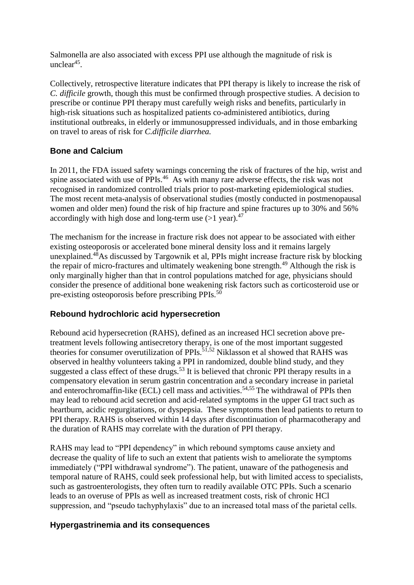Salmonella are also associated with excess PPI use although the magnitude of risk is unclear<sup>45</sup>.

Collectively, retrospective literature indicates that PPI therapy is likely to increase the risk of *C. difficile* growth, though this must be confirmed through prospective studies. A decision to prescribe or continue PPI therapy must carefully weigh risks and benefits, particularly in high-risk situations such as hospitalized patients co-administered antibiotics, during institutional outbreaks, in elderly or immunosuppressed individuals, and in those embarking on travel to areas of risk for *C.difficile diarrhea.*

# **Bone and Calcium**

In 2011, the FDA issued safety warnings concerning the risk of fractures of the hip, wrist and spine associated with use of PPIs.<sup>46</sup> As with many rare adverse effects, the risk was not recognised in randomized controlled trials prior to post-marketing epidemiological studies. The most recent meta-analysis of observational studies (mostly conducted in postmenopausal women and older men) found the risk of hip fracture and spine fractures up to 30% and 56% accordingly with high dose and long-term use  $(>1 \text{ year})$ .<sup>47</sup>

The mechanism for the increase in fracture risk does not appear to be associated with either existing osteoporosis or accelerated bone mineral density loss and it remains largely unexplained. $48A$ s discussed by Targownik et al, PPIs might increase fracture risk by blocking the repair of micro-fractures and ultimately weakening bone strength.<sup>49</sup> Although the risk is only marginally higher than that in control populations matched for age, physicians should consider the presence of additional bone weakening risk factors such as corticosteroid use or pre-existing osteoporosis before prescribing PPIs.<sup>50</sup>

# **Rebound hydrochloric acid hypersecretion**

Rebound acid hypersecretion (RAHS), defined as an increased HCl secretion above pretreatment levels following antisecretory therapy, is one of the most important suggested theories for consumer overutilization of PPIs.51,52 Niklasson et al showed that RAHS was observed in healthy volunteers taking a PPI in randomized, double blind study, and they suggested a class effect of these drugs.<sup>53</sup> It is believed that chronic PPI therapy results in a compensatory elevation in serum gastrin concentration and a secondary increase in parietal and enterochromaffin-like (ECL) cell mass and activities. 54,55 The withdrawal of PPIs then may lead to rebound acid secretion and acid-related symptoms in the upper GI tract such as heartburn, acidic regurgitations, or dyspepsia. These symptoms then lead patients to return to PPI therapy. RAHS is observed within 14 days after discontinuation of pharmacotherapy and the duration of RAHS may correlate with the duration of PPI therapy.

RAHS may lead to "PPI dependency" in which rebound symptoms cause anxiety and decrease the quality of life to such an extent that patients wish to ameliorate the symptoms immediately ("PPI withdrawal syndrome"). The patient, unaware of the pathogenesis and temporal nature of RAHS, could seek professional help, but with limited access to specialists, such as gastroenterologists, they often turn to readily available OTC PPIs. Such a scenario leads to an overuse of PPIs as well as increased treatment costs, risk of chronic HCl suppression, and "pseudo tachyphylaxis" due to an increased total mass of the parietal cells.

# **Hypergastrinemia and its consequences**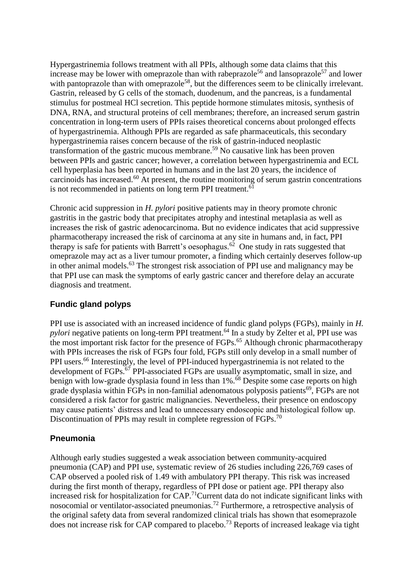Hypergastrinemia follows treatment with all PPIs, although some data claims that this increase may be lower with omeprazole than with rabeprazole<sup>56</sup> and lansoprazole<sup>57</sup> and lower with pantoprazole than with omeprazole<sup>58</sup>, but the differences seem to be clinically irrelevant. Gastrin, released by G cells of the stomach, duodenum, and the pancreas, is a fundamental stimulus for postmeal HCl secretion. This peptide hormone stimulates mitosis, synthesis of DNA, RNA, and structural proteins of cell membranes; therefore, an increased serum gastrin concentration in long-term users of PPIs raises theoretical concerns about prolonged effects of hypergastrinemia. Although PPIs are regarded as safe pharmaceuticals, this secondary hypergastrinemia raises concern because of the risk of gastrin-induced neoplastic transformation of the gastric mucous membrane. <sup>59</sup> No causative link has been proven between PPIs and gastric cancer; however, a correlation between hypergastrinemia and ECL cell hyperplasia has been reported in humans and in the last 20 years, the incidence of carcinoids has increased. $^{60}$  At present, the routine monitoring of serum gastrin concentrations is not recommended in patients on long term PPI treatment.<sup>61</sup>

Chronic acid suppression in *H. pylori* positive patients may in theory promote chronic gastritis in the gastric body that precipitates atrophy and intestinal metaplasia as well as increases the risk of gastric adenocarcinoma. But no evidence indicates that acid suppressive pharmacotherapy increased the risk of carcinoma at any site in humans and, in fact, PPI therapy is safe for patients with Barrett's oesophagus.<sup>62</sup> One study in rats suggested that omeprazole may act as a liver tumour promoter, a finding which certainly deserves follow-up in other animal models.<sup>63</sup> The strongest risk association of PPI use and malignancy may be that PPI use can mask the symptoms of early gastric cancer and therefore delay an accurate diagnosis and treatment.

# **Fundic gland polyps**

PPI use is associated with an increased incidence of fundic gland polyps (FGPs), mainly in *H. pylori* negative patients on long-term PPI treatment.<sup>64</sup> In a study by Zelter et al, PPI use was the most important risk factor for the presence of FGPs.<sup>65</sup> Although chronic pharmacotherapy with PPIs increases the risk of FGPs four fold, FGPs still only develop in a small number of PPI users.<sup>66</sup> Interestingly, the level of PPI-induced hypergastrinemia is not related to the development of FGPs.<sup>67</sup> PPI-associated FGPs are usually asymptomatic, small in size, and benign with low-grade dysplasia found in less than 1%.<sup>68</sup> Despite some case reports on high grade dysplasia within FGPs in non-familial adenomatous polyposis patients<sup>69</sup>, FGPs are not considered a risk factor for gastric malignancies. Nevertheless, their presence on endoscopy may cause patients' distress and lead to unnecessary endoscopic and histological follow up. Discontinuation of PPIs may result in complete regression of FGPs.<sup>70</sup>

# **Pneumonia**

Although early studies suggested a weak association between community-acquired pneumonia (CAP) and PPI use, systematic review of 26 studies including 226,769 cases of CAP observed a pooled risk of 1.49 with ambulatory PPI therapy. This risk was increased during the first month of therapy, regardless of PPI dose or patient age. PPI therapy also increased risk for hospitalization for CAP.<sup>71</sup>Current data do not indicate significant links with nosocomial or ventilator-associated pneumonias.<sup>72</sup> Furthermore, a retrospective analysis of the original safety data from several randomized clinical trials has shown that esomeprazole does not increase risk for CAP compared to placebo.<sup>73</sup> Reports of increased leakage via tight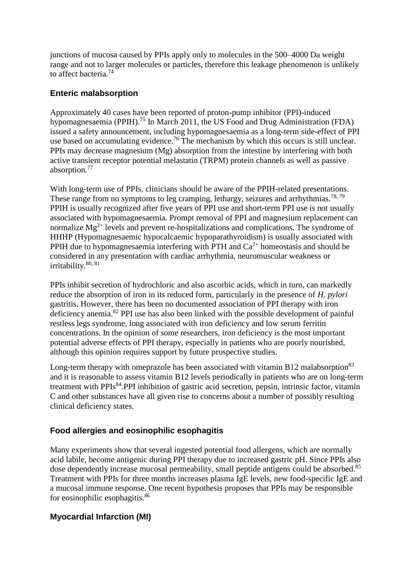junctions of mucosa caused by PPIs apply only to molecules in the 500–4000 Da weight range and not to larger molecules or particles, therefore this leakage phenomenon is unlikely to affect bacteria.<sup>74</sup>

#### **Enteric malabsorption**

Approximately 40 cases have been reported of proton-pump inhibitor (PPI)-induced hypomagnesaemia (PPIH).<sup>75</sup> In March 2011, the US Food and Drug Administration (FDA) issued a safety announcement, including hypomagnesaemia as a long-term side-effect of PPI use based on accumulating evidence.<sup>76</sup> The mechanism by which this occurs is still unclear. PPIs may decrease magnesium (Mg) absorption from the intestine by interfering with both active transient receptor potential melastatin (TRPM) protein channels as well as passive absorption.<sup>77</sup>

With long-term use of PPIs, clinicians should be aware of the PPIH-related presentations. These range from no symptoms to leg cramping, lethargy, seizures and arrhythmias.<sup>78, 79</sup> PPIH is usually recognized after five years of PPI use and short-term PPI use is not usually associated with hypomagnesaemia. Prompt removal of PPI and magnesium replacement can normalize  $Mg^{2+}$  levels and prevent re-hospitalizations and complications. The syndrome of HHHP (Hypomagnesaemic hypocalcaemic hypoparathyroidism) is usually associated with PPIH due to hypomagnesaemia interfering with PTH and  $Ca^{2+}$  homeostasis and should be considered in any presentation with cardiac arrhythmia, neuromuscular weakness or irritability.80, 81

PPIs inhibit secretion of hydrochloric and also ascorbic acids, which in turn, can markedly reduce the absorption of iron in its reduced form, particularly in the presence of *H. pylori* gastritis. However, there has been no documented association of PPI therapy with iron deficiency anemia.<sup>82</sup> PPI use has also been linked with the possible development of painful restless legs syndrome, long associated with iron deficiency and low serum ferritin concentrations. In the opinion of some researchers, iron deficiency is the most important potential adverse effects of PPI therapy, especially in patients who are poorly nourished, although this opinion requires support by future prospective studies.

Long-term therapy with [omeprazole](http://www.uptodate.com/contents/omeprazole-drug-information?source=see_link) has been associated with vitamin B12 malabsorption<sup>83</sup> and it is reasonable to assess vitamin B12 levels periodically in patients who are on long-term treatment with PPIs<sup>84</sup>.PPI inhibition of gastric acid secretion, pepsin, intrinsic factor, vitamin C and other substances have all given rise to concerns about a number of possibly resulting clinical deficiency states.

# **Food allergies and eosinophilic esophagitis**

Many experiments show that several ingested potential food allergens, which are normally acid labile, become antigenic during PPI therapy due to increased gastric pH. Since PPIs also dose dependently increase mucosal permeability, small peptide antigens could be absorbed.<sup>85</sup> Treatment with PPIs for three months increases plasma IgE levels, new food-specific IgE and a mucosal immune response. One recent hypothesis proposes that PPIs may be responsible for eosinophilic esophagitis.<sup>86</sup>

# **Myocardial Infarction (MI)**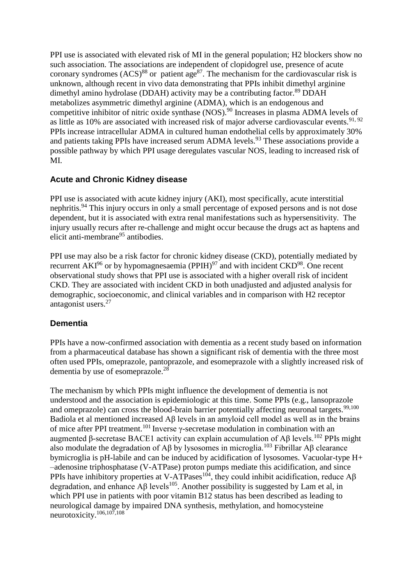PPI use is associated with elevated risk of MI in the general population; H2 blockers show no such association. The associations are independent of clopidogrel use, presence of acute coronary syndromes  $(ACS)^{88}$  or patient age<sup>87</sup>. The mechanism for the cardiovascular risk is unknown, although recent in vivo data demonstrating that PPIs inhibit dimethyl arginine dimethyl amino hydrolase (DDAH) activity may be a contributing factor.<sup>89</sup> DDAH metabolizes asymmetric dimethyl arginine (ADMA), which is an endogenous and competitive inhibitor of nitric oxide synthase (NOS).<sup>90</sup> Increases in plasma ADMA levels of as little as 10% are associated with increased risk of major adverse cardiovascular events.<sup>91, 92</sup> PPIs increase intracellular ADMA in cultured human endothelial cells by approximately 30% and patients taking PPIs have increased serum ADMA levels.<sup>93</sup> These associations provide a possible pathway by which PPI usage deregulates vascular NOS, leading to increased risk of MI.

#### **Acute and Chronic Kidney disease**

PPI use is associated with acute kidney injury (AKI), most specifically, acute interstitial nephritis.<sup>94</sup> This injury occurs in only a small percentage of exposed persons and is not dose dependent, but it is associated with extra renal manifestations such as hypersensitivity. The injury usually recurs after re-challenge and might occur because the drugs act as haptens and elicit anti-membrane<sup>95</sup> antibodies.

PPI use may also be a risk factor for chronic kidney disease (CKD), potentially mediated by recurrent  $AKI<sup>96</sup>$  or by hypomagnesaemia (PPIH)<sup>97</sup> and with incident  $CKD<sup>98</sup>$ . One recent observational study shows that PPI use is associated with a higher overall risk of incident CKD. They are associated with incident CKD in both unadjusted and adjusted analysis for demographic, socioeconomic, and clinical variables and in comparison with H2 receptor antagonist users.<sup>27</sup>

#### **Dementia**

PPIs have a now-confirmed association with dementia as a recent study based on information from a pharmaceutical database has shown a significant risk of dementia with the three most often used PPIs, omeprazole, pantoprazole, and esomeprazole with a slightly increased risk of dementia by use of esomeprazole.<sup>28</sup>

The mechanism by which PPIs might influence the development of dementia is not understood and the association is epidemiologic at this time. Some PPIs (e.g., lansoprazole and omeprazole) can cross the blood-brain barrier potentially affecting neuronal targets.<sup>99,100</sup> Badiola et al mentioned increased Aβ levels in an amyloid cell model as well as in the brains of mice after PPI treatment.<sup>101</sup> Inverse  $\gamma$ -secretase modulation in combination with an augmented β-secretase BACE1 activity can explain accumulation of Aβ levels.<sup>102</sup> PPIs might also modulate the degradation of Aβ by lysosomes in microglia.<sup>103</sup> Fibrillar Aβ clearance bymicroglia is pH-labile and can be induced by acidification of lysosomes. Vacuolar-type H+ –adenosine triphosphatase (V-ATPase) proton pumps mediate this acidification, and since PPIs have inhibitory properties at V-ATPases<sup>104</sup>, they could inhibit acidification, reduce A $\beta$ degradation, and enhance A $\beta$  levels<sup>105</sup>. Another possibility is suggested by Lam et al, in which PPI use in patients with poor vitamin B12 status has been described as leading to neurological damage by impaired DNA synthesis, methylation, and homocysteine neurotoxicity.106,107,108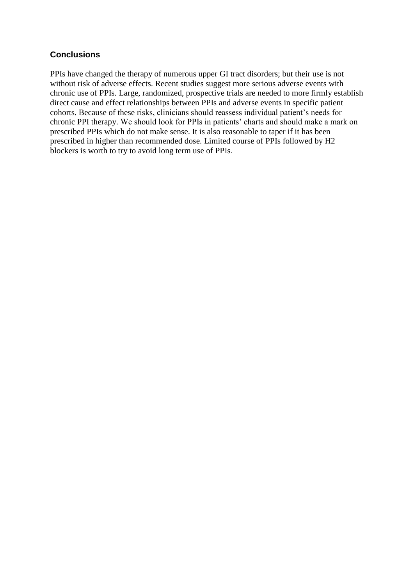#### **Conclusions**

PPIs have changed the therapy of numerous upper GI tract disorders; but their use is not without risk of adverse effects. Recent studies suggest more serious adverse events with chronic use of PPIs. Large, randomized, prospective trials are needed to more firmly establish direct cause and effect relationships between PPIs and adverse events in specific patient cohorts. Because of these risks, clinicians should reassess individual patient's needs for chronic PPI therapy. We should look for PPIs in patients' charts and should make a mark on prescribed PPIs which do not make sense. It is also reasonable to taper if it has been prescribed in higher than recommended dose. Limited course of PPIs followed by H2 blockers is worth to try to avoid long term use of PPIs.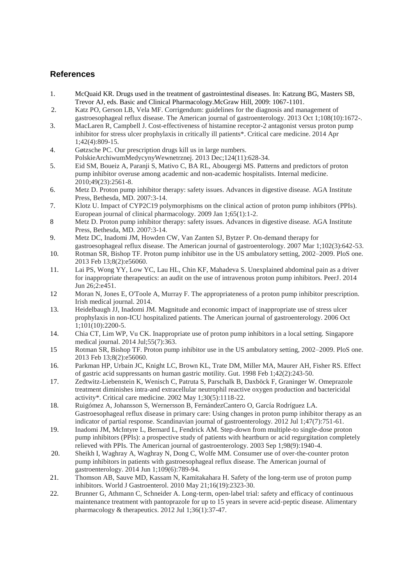#### **References**

- 1. McQuaid KR. Drugs used in the treatment of gastrointestinal diseases. In: Katzung BG, Masters SB, Trevor AJ, eds. Basic and Clinical Pharmacology.McGraw Hill, 2009: 1067-1101.
- 2. Katz PO, Gerson LB, Vela MF. Corrigendum: guidelines for the diagnosis and management of gastroesophageal reflux disease. The American journal of gastroenterology. 2013 Oct 1;108(10):1672-.
- 3. MacLaren R, Campbell J. Cost-effectiveness of histamine receptor-2 antagonist versus proton pump inhibitor for stress ulcer prophylaxis in critically ill patients\*. Critical care medicine. 2014 Apr 1;42(4):809-15.
- 4. Gøtzsche PC. Our prescription drugs kill us in large numbers. PolskieArchiwumMedycynyWewnetrznej. 2013 Dec;124(11):628-34.
- 5. Eid SM, Boueiz A, Paranji S, Mativo C, BA RL, Abougergi MS. Patterns and predictors of proton pump inhibitor overuse among academic and non-academic hospitalists. Internal medicine. 2010;49(23):2561-8.
- 6. Metz D. Proton pump inhibitor therapy: safety issues. Advances in digestive disease. AGA Institute Press, Bethesda, MD. 2007:3-14.
- 7. Klotz U. Impact of CYP2C19 polymorphisms on the clinical action of proton pump inhibitors (PPIs). European journal of clinical pharmacology. 2009 Jan 1;65(1):1-2.
- 8 Metz D. Proton pump inhibitor therapy: safety issues. Advances in digestive disease. AGA Institute Press, Bethesda, MD. 2007:3-14.
- 9. Metz DC, Inadomi JM, Howden CW, Van Zanten SJ, Bytzer P. On-demand therapy for gastroesophageal reflux disease. The American journal of gastroenterology. 2007 Mar 1;102(3):642-53.
- 10. Rotman SR, Bishop TF. Proton pump inhibitor use in the US ambulatory setting, 2002–2009. PloS one. 2013 Feb 13;8(2):e56060.
- 11. Lai PS, Wong YY, Low YC, Lau HL, Chin KF, Mahadeva S. Unexplained abdominal pain as a driver for inappropriate therapeutics: an audit on the use of intravenous proton pump inhibitors. PeerJ. 2014 Jun 26;2:e451.
- 12 Moran N, Jones E, O'Toole A, Murray F. The appropriateness of a proton pump inhibitor prescription. Irish medical journal. 2014.
- 13. Heidelbaugh JJ, Inadomi JM. Magnitude and economic impact of inappropriate use of stress ulcer prophylaxis in non-ICU hospitalized patients. The American journal of gastroenterology. 2006 Oct 1;101(10):2200-5.
- 14. Chia CT, Lim WP, Vu CK. Inappropriate use of proton pump inhibitors in a local setting. Singapore medical journal. 2014 Jul;55(7):363.
- 15 Rotman SR, Bishop TF. Proton pump inhibitor use in the US ambulatory setting, 2002–2009. PloS one. 2013 Feb 13;8(2):e56060.
- 16. Parkman HP, Urbain JC, Knight LC, Brown KL, Trate DM, Miller MA, Maurer AH, Fisher RS. Effect of gastric acid suppressants on human gastric motility. Gut. 1998 Feb 1;42(2):243-50.
- 17. Zedtwitz-Liebenstein K, Wenisch C, Patruta S, Parschalk B, Daxböck F, Graninger W. Omeprazole treatment diminishes intra-and extracellular neutrophil reactive oxygen production and bactericidal activity\*. Critical care medicine. 2002 May 1;30(5):1118-22.
- 18. Ruigómez A, Johansson S, Wernersson B, FernándezCantero O, García Rodríguez LA. Gastroesophageal reflux disease in primary care: Using changes in proton pump inhibitor therapy as an indicator of partial response. Scandinavian journal of gastroenterology. 2012 Jul 1;47(7):751-61.
- 19. Inadomi JM, McIntyre L, Bernard L, Fendrick AM. Step-down from multiple-to single-dose proton pump inhibitors (PPIs): a prospective study of patients with heartburn or acid regurgitation completely relieved with PPIs. The American journal of gastroenterology. 2003 Sep 1;98(9):1940-4.
- 20. Sheikh I, Waghray A, Waghray N, Dong C, Wolfe MM. Consumer use of over-the-counter proton pump inhibitors in patients with gastroesophageal reflux disease. The American journal of gastroenterology. 2014 Jun 1;109(6):789-94.
- 21. Thomson AB, Sauve MD, Kassam N, Kamitakahara H. Safety of the long-term use of proton pump inhibitors. World J Gastroenterol. 2010 May 21;16(19):2323-30.
- 22. Brunner G, Athmann C, Schneider A. Long-term, open-label trial: safety and efficacy of continuous maintenance treatment with pantoprazole for up to 15 years in severe acid-peptic disease. Alimentary pharmacology & therapeutics. 2012 Jul 1;36(1):37-47.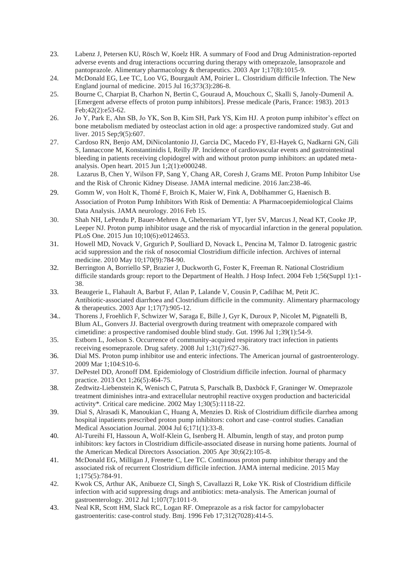- 23. Labenz J, Petersen KU, Rösch W, Koelz HR. A summary of Food and Drug Administration-reported adverse events and drug interactions occurring during therapy with omeprazole, lansoprazole and pantoprazole. Alimentary pharmacology & therapeutics. 2003 Apr 1;17(8):1015-9.
- 24. McDonald EG, Lee TC, Loo VG, Bourgault AM, Poirier L. Clostridium difficile Infection. The New England journal of medicine. 2015 Jul 16;373(3):286-8.
- 25. Bourne C, Charpiat B, Charhon N, Bertin C, Gouraud A, Mouchoux C, Skalli S, Janoly-Dumenil A. [Emergent adverse effects of proton pump inhibitors]. Presse medicale (Paris, France: 1983). 2013 Feb;42(2):e53-62.
- 26. Jo Y, Park E, Ahn SB, Jo YK, Son B, Kim SH, Park YS, Kim HJ. A proton pump inhibitor's effect on bone metabolism mediated by osteoclast action in old age: a prospective randomized study. Gut and liver. 2015 Sep;9(5):607.
- 27. Cardoso RN, Benjo AM, DiNicolantonio JJ, Garcia DC, Macedo FY, El-Hayek G, Nadkarni GN, Gili S, Iannaccone M, Konstantinidis I, Reilly JP. Incidence of cardiovascular events and gastrointestinal bleeding in patients receiving clopidogrel with and without proton pump inhibitors: an updated metaanalysis. Open heart. 2015 Jun 1;2(1):e000248.
- 28. Lazarus B, Chen Y, Wilson FP, Sang Y, Chang AR, Coresh J, Grams ME. Proton Pump Inhibitor Use and the Risk of Chronic Kidney Disease. JAMA internal medicine. 2016 Jan:238-46.
- 29. Gomm W, von Holt K, Thomé F, Broich K, Maier W, Fink A, Doblhammer G, Haenisch B. Association of Proton Pump Inhibitors With Risk of Dementia: A Pharmacoepidemiological Claims Data Analysis. JAMA neurology. 2016 Feb 15.
- 30. Shah NH, LePendu P, Bauer-Mehren A, Ghebremariam YT, Iyer SV, Marcus J, Nead KT, Cooke JP, Leeper NJ. Proton pump inhibitor usage and the risk of myocardial infarction in the general population. PLoS One. 2015 Jun 10;10(6):e0124653.
- 31. Howell MD, Novack V, Grgurich P, Soulliard D, Novack L, Pencina M, Talmor D. Iatrogenic gastric acid suppression and the risk of nosocomial Clostridium difficile infection. Archives of internal medicine. 2010 May 10;170(9):784-90.
- 32. Berrington A, Borriello SP, Brazier J, Duckworth G, Foster K, Freeman R. National Clostridium difficile standards group: report to the Department of Health. J Hosp Infect. 2004 Feb 1;56(Suppl 1):1- 38.
- 33. Beaugerie L, Flahault A, Barbut F, Atlan P, Lalande V, Cousin P, Cadilhac M, Petit JC. Antibiotic‐associated diarrhoea and Clostridium difficile in the community. Alimentary pharmacology & therapeutics. 2003 Apr 1;17(7):905-12.
- 34.. Thorens J, Froehlich F, Schwizer W, Saraga E, Bille J, Gyr K, Duroux P, Nicolet M, Pignatelli B, Blum AL, Gonvers JJ. Bacterial overgrowth during treatment with omeprazole compared with cimetidine: a prospective randomised double blind study. Gut. 1996 Jul 1;39(1):54-9.
- 35. Estborn L, Joelson S. Occurrence of community-acquired respiratory tract infection in patients receiving esomeprazole. Drug safety. 2008 Jul 1;31(7):627-36.
- 36. Dial MS. Proton pump inhibitor use and enteric infections. The American journal of gastroenterology. 2009 Mar 1;104:S10-6.
- 37. DePestel DD, Aronoff DM. Epidemiology of Clostridium difficile infection. Journal of pharmacy practice. 2013 Oct 1;26(5):464-75.
- 38. Zedtwitz-Liebenstein K, Wenisch C, Patruta S, Parschalk B, Daxböck F, Graninger W. Omeprazole treatment diminishes intra-and extracellular neutrophil reactive oxygen production and bactericidal activity\*. Critical care medicine. 2002 May 1;30(5):1118-22.
- 39. Dial S, Alrasadi K, Manoukian C, Huang A, Menzies D. Risk of Clostridium difficile diarrhea among hospital inpatients prescribed proton pump inhibitors: cohort and case–control studies. Canadian Medical Association Journal. 2004 Jul 6;171(1):33-8.
- 40. Al-Tureihi FI, Hassoun A, Wolf-Klein G, Isenberg H. Albumin, length of stay, and proton pump inhibitors: key factors in Clostridium difficile-associated disease in nursing home patients. Journal of the American Medical Directors Association. 2005 Apr 30;6(2):105-8.
- 41. McDonald EG, Milligan J, Frenette C, Lee TC. Continuous proton pump inhibitor therapy and the associated risk of recurrent Clostridium difficile infection. JAMA internal medicine. 2015 May 1;175(5):784-91.
- 42. Kwok CS, Arthur AK, Anibueze CI, Singh S, Cavallazzi R, Loke YK. Risk of Clostridium difficile infection with acid suppressing drugs and antibiotics: meta-analysis. The American journal of gastroenterology. 2012 Jul 1;107(7):1011-9.
- 43. Neal KR, Scott HM, Slack RC, Logan RF. Omeprazole as a risk factor for campylobacter gastroenteritis: case-control study. Bmj. 1996 Feb 17;312(7028):414-5.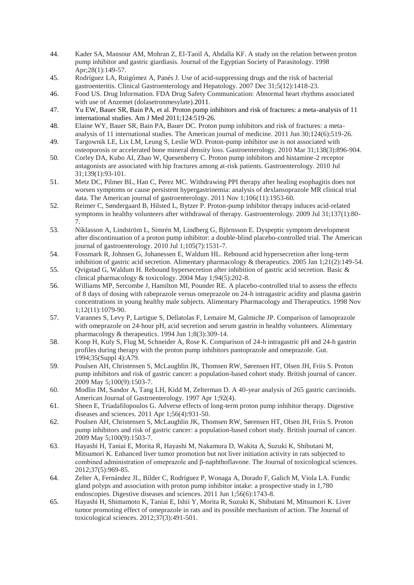- 44. Kader SA, Mansour AM, Mohran Z, El-Taoil A, Abdalla KF. A study on the relation between proton pump inhibitor and gastric giardiasis. Journal of the Egyptian Society of Parasitology. 1998 Apr;28(1):149-57.
- 45. Rodríguez LA, Ruigómez A, Panés J. Use of acid-suppressing drugs and the risk of bacterial gastroenteritis. Clinical Gastroenterology and Hepatology. 2007 Dec 31;5(12):1418-23.
- 46. Food US. Drug Information. FDA Drug Safety Communication: Abnormal heart rhythms associated with use of Anzemet (dolasetronmesylate).2011.
- 47. Yu EW, Bauer SR, Bain PA, et al. Proton pump inhibitors and risk of fractures: a meta-analysis of 11 international studies. Am J Med 2011;124:519-26.
- 48. Elaine WY, Bauer SR, Bain PA, Bauer DC. Proton pump inhibitors and risk of fractures: a metaanalysis of 11 international studies. The American journal of medicine. 2011 Jun 30;124(6):519-26.
- 49. Targownik LE, Lix LM, Leung S, Leslie WD. Proton-pump inhibitor use is not associated with osteoporosis or accelerated bone mineral density loss. Gastroenterology. 2010 Mar 31;138(3):896-904.
- 50. Corley DA, Kubo AI, Zhao W, Quesenberry C. Proton pump inhibitors and histamine-2 receptor antagonists are associated with hip fractures among at-risk patients. Gastroenterology. 2010 Jul 31;139(1):93-101.
- 51. Metz DC, Pilmer BL, Han C, Perez MC. Withdrawing PPI therapy after healing esophagitis does not worsen symptoms or cause persistent hypergastrinemia: analysis of dexlansoprazole MR clinical trial data. The American journal of gastroenterology. 2011 Nov 1;106(11):1953-60.
- 52. Reimer C, Søndergaard B, Hilsted L, Bytzer P. Proton-pump inhibitor therapy induces acid-related symptoms in healthy volunteers after withdrawal of therapy. Gastroenterology. 2009 Jul 31;137(1):80- 7.
- 53. Niklasson A, Lindström L, Simrén M, Lindberg G, Björnsson E. Dyspeptic symptom development after discontinuation of a proton pump inhibitor: a double-blind placebo-controlled trial. The American journal of gastroenterology. 2010 Jul 1;105(7):1531-7.
- 54. Fossmark R, Johnsen G, Johanessen E, Waldum HL. Rebound acid hypersecretion after long‐term inhibition of gastric acid secretion. Alimentary pharmacology & therapeutics. 2005 Jan 1;21(2):149-54.
- 55. Qvigstad G, Waldum H. Rebound hypersecretion after inhibition of gastric acid secretion. Basic & clinical pharmacology & toxicology. 2004 May 1;94(5):202-8.
- 56. Williams MP, Sercombe J, Hamilton MI, Pounder RE. A placebo-controlled trial to assess the effects of 8 days of dosing with rabeprazole versus omeprazole on 24-h intragastric acidity and plasma gastrin concentrations in young healthy male subjects. Alimentary Pharmacology and Therapeutics. 1998 Nov 1;12(11):1079-90.
- 57. Varannes S, Levy P, Lartigue S, Dellatolas F, Lemaire M, Galmiche JP. Comparison of lansoprazole with omeprazole on 24-hour pH, acid secretion and serum gastrin in healthy volunteers. Alimentary pharmacology & therapeutics. 1994 Jun 1;8(3):309-14.
- 58. Koop H, Kuly S, Flug M, Schneider A, Rose K. Comparison of 24-h intragastric pH and 24-h gastrin profiles during therapy with the proton pump inhibitors pantoprazole and omeprazole. Gut. 1994;35(Suppl 4):A79.
- 59. Poulsen AH, Christensen S, McLaughlin JK, Thomsen RW, Sørensen HT, Olsen JH, Friis S. Proton pump inhibitors and risk of gastric cancer: a population-based cohort study. British journal of cancer. 2009 May 5;100(9):1503-7.
- 60. Modlin IM, Sandor A, Tang LH, Kidd M, Zelterman D. A 40-year analysis of 265 gastric carcinoids. American Journal of Gastroenterology. 1997 Apr 1;92(4).
- 61. Sheen E, Triadafilopoulos G. Adverse effects of long-term proton pump inhibitor therapy. Digestive diseases and sciences. 2011 Apr 1;56(4):931-50.
- 62. Poulsen AH, Christensen S, McLaughlin JK, Thomsen RW, Sørensen HT, Olsen JH, Friis S. Proton pump inhibitors and risk of gastric cancer: a population-based cohort study. British journal of cancer. 2009 May 5;100(9):1503-7.
- 63. Hayashi H, Taniai E, Morita R, Hayashi M, Nakamura D, Wakita A, Suzuki K, Shibutani M, Mitsumori K. Enhanced liver tumor promotion but not liver initiation activity in rats subjected to combined administration of omeprazole and β-naphthoflavone. The Journal of toxicological sciences. 2012;37(5):969-85.
- 64. Zelter A, Fernández JL, Bilder C, Rodríguez P, Wonaga A, Dorado F, Galich M, Viola LA. Fundic gland polyps and association with proton pump inhibitor intake: a prospective study in 1,780 endoscopies. Digestive diseases and sciences. 2011 Jun 1;56(6):1743-8.
- 65. Hayashi H, Shimamoto K, Taniai E, Ishii Y, Morita R, Suzuki K, Shibutani M, Mitsumori K. Liver tumor promoting effect of omeprazole in rats and its possible mechanism of action. The Journal of toxicological sciences. 2012;37(3):491-501.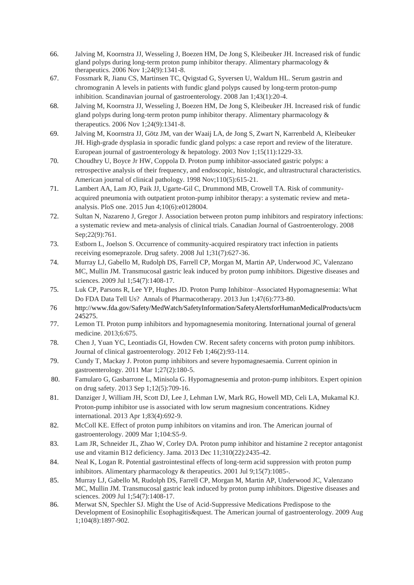- 66. Jalving M, Koornstra JJ, Wesseling J, Boezen HM, De Jong S, Kleibeuker JH. Increased risk of fundic gland polyps during long-term proton pump inhibitor therapy. Alimentary pharmacology  $\&$ therapeutics. 2006 Nov 1;24(9):1341-8.
- 67. Fossmark R, Jianu CS, Martinsen TC, Qvigstad G, Syversen U, Waldum HL. Serum gastrin and chromogranin A levels in patients with fundic gland polyps caused by long-term proton-pump inhibition. Scandinavian journal of gastroenterology. 2008 Jan 1;43(1):20-4.
- 68. Jalving M, Koornstra JJ, Wesseling J, Boezen HM, De Jong S, Kleibeuker JH. Increased risk of fundic gland polyps during long-term proton pump inhibitor therapy. Alimentary pharmacology  $\&$ therapeutics. 2006 Nov 1;24(9):1341-8.
- 69. Jalving M, Koornstra JJ, Götz JM, van der Waaij LA, de Jong S, Zwart N, Karrenbeld A, Kleibeuker JH. High-grade dysplasia in sporadic fundic gland polyps: a case report and review of the literature. European journal of gastroenterology & hepatology. 2003 Nov 1;15(11):1229-33.
- 70. Choudhry U, Boyce Jr HW, Coppola D. Proton pump inhibitor-associated gastric polyps: a retrospective analysis of their frequency, and endoscopic, histologic, and ultrastructural characteristics. American journal of clinical pathology. 1998 Nov;110(5):615-21.
- 71. Lambert AA, Lam JO, Paik JJ, Ugarte-Gil C, Drummond MB, Crowell TA. Risk of communityacquired pneumonia with outpatient proton-pump inhibitor therapy: a systematic review and metaanalysis. PloS one. 2015 Jun 4;10(6):e0128004.
- 72. Sultan N, Nazareno J, Gregor J. Association between proton pump inhibitors and respiratory infections: a systematic review and meta-analysis of clinical trials. Canadian Journal of Gastroenterology. 2008 Sep; 22(9): 761.
- 73. Estborn L, Joelson S. Occurrence of community-acquired respiratory tract infection in patients receiving esomeprazole. Drug safety. 2008 Jul 1;31(7):627-36.
- 74. Murray LJ, Gabello M, Rudolph DS, Farrell CP, Morgan M, Martin AP, Underwood JC, Valenzano MC, Mullin JM. Transmucosal gastric leak induced by proton pump inhibitors. Digestive diseases and sciences. 2009 Jul 1;54(7):1408-17.
- 75. Luk CP, Parsons R, Lee YP, Hughes JD. Proton Pump Inhibitor–Associated Hypomagnesemia: What Do FDA Data Tell Us? Annals of Pharmacotherapy. 2013 Jun 1;47(6):773-80.
- 76 http://www.fda.gov/Safety/MedWatch/SafetyInformation/SafetyAlertsforHumanMedicalProducts/ucm 245275.
- 77. Lemon TI. Proton pump inhibitors and hypomagnesemia monitoring. International journal of general medicine. 2013;6:675.
- 78. Chen J, Yuan YC, Leontiadis GI, Howden CW. Recent safety concerns with proton pump inhibitors. Journal of clinical gastroenterology. 2012 Feb 1;46(2):93-114.
- 79. Cundy T, Mackay J. Proton pump inhibitors and severe hypomagnesaemia. Current opinion in gastroenterology. 2011 Mar 1;27(2):180-5.
- 80. Famularo G, Gasbarrone L, Minisola G. Hypomagnesemia and proton-pump inhibitors. Expert opinion on drug safety. 2013 Sep 1;12(5):709-16.
- 81. Danziger J, William JH, Scott DJ, Lee J, Lehman LW, Mark RG, Howell MD, Celi LA, Mukamal KJ. Proton-pump inhibitor use is associated with low serum magnesium concentrations. Kidney international. 2013 Apr 1;83(4):692-9.
- 82. McColl KE. Effect of proton pump inhibitors on vitamins and iron. The American journal of gastroenterology. 2009 Mar 1;104:S5-9.
- 83. Lam JR, Schneider JL, Zhao W, Corley DA. Proton pump inhibitor and histamine 2 receptor antagonist use and vitamin B12 deficiency. Jama. 2013 Dec 11;310(22):2435-42.
- 84. Neal K, Logan R, Potential gastrointestinal effects of long-term acid suppression with proton pump inhibitors. Alimentary pharmacology & therapeutics. 2001 Jul 9;15(7):1085-.
- 85. Murray LJ, Gabello M, Rudolph DS, Farrell CP, Morgan M, Martin AP, Underwood JC, Valenzano MC, Mullin JM. Transmucosal gastric leak induced by proton pump inhibitors. Digestive diseases and sciences. 2009 Jul 1;54(7):1408-17.
- 86. Merwat SN, Spechler SJ. Might the Use of Acid-Suppressive Medications Predispose to the Development of Eosinophilic Esophagitis&quest. The American journal of gastroenterology. 2009 Aug 1;104(8):1897-902.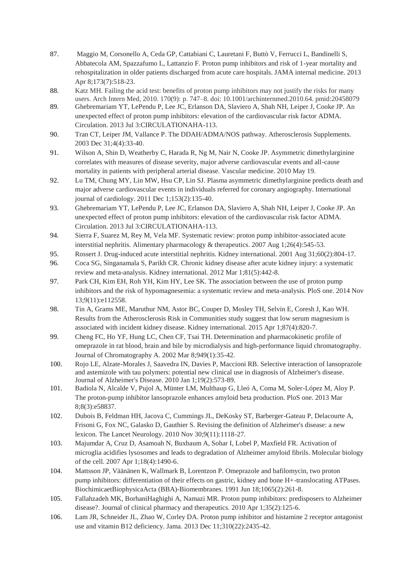- 87. Maggio M, Corsonello A, Ceda GP, Cattabiani C, Lauretani F, Buttò V, Ferrucci L, Bandinelli S, Abbatecola AM, Spazzafumo L, Lattanzio F. Proton pump inhibitors and risk of 1-year mortality and rehospitalization in older patients discharged from acute care hospitals. JAMA internal medicine. 2013 Apr 8;173(7):518-23.
- 88. Katz MH. Failing the acid test: benefits of proton pump inhibitors may not justify the risks for many users. Arch Intern Med, 2010. 170(9): p. 747–8. doi: 10.1001/archinternmed.2010.64. pmid:20458079
- 89. Ghebremariam YT, LePendu P, Lee JC, Erlanson DA, Slaviero A, Shah NH, Leiper J, Cooke JP. An unexpected effect of proton pump inhibitors: elevation of the cardiovascular risk factor ADMA. Circulation. 2013 Jul 3:CIRCULATIONAHA-113.
- 90. Tran CT, Leiper JM, Vallance P. The DDAH/ADMA/NOS pathway. Atherosclerosis Supplements. 2003 Dec 31;4(4):33-40.
- 91. Wilson A, Shin D, Weatherby C, Harada R, Ng M, Nair N, Cooke JP. Asymmetric dimethylarginine correlates with measures of disease severity, major adverse cardiovascular events and all-cause mortality in patients with peripheral arterial disease. Vascular medicine. 2010 May 19.
- 92. Lu TM, Chung MY, Lin MW, Hsu CP, Lin SJ. Plasma asymmetric dimethylarginine predicts death and major adverse cardiovascular events in individuals referred for coronary angiography. International journal of cardiology. 2011 Dec 1;153(2):135-40.
- 93. Ghebremariam YT, LePendu P, Lee JC, Erlanson DA, Slaviero A, Shah NH, Leiper J, Cooke JP. An unexpected effect of proton pump inhibitors: elevation of the cardiovascular risk factor ADMA. Circulation. 2013 Jul 3:CIRCULATIONAHA-113.
- 94. Sierra F, Suarez M, Rey M, Vela MF. Systematic review: proton pump inhibitor-associated acute interstitial nephritis. Alimentary pharmacology & therapeutics. 2007 Aug 1;26(4):545-53.
- 95. Rossert J. Drug-induced acute interstitial nephritis. Kidney international. 2001 Aug 31;60(2):804-17.
- 96. Coca SG, Singanamala S, Parikh CR. Chronic kidney disease after acute kidney injury: a systematic review and meta-analysis. Kidney international. 2012 Mar 1;81(5):442-8.
- 97. Park CH, Kim EH, Roh YH, Kim HY, Lee SK. The association between the use of proton pump inhibitors and the risk of hypomagnesemia: a systematic review and meta-analysis. PloS one. 2014 Nov 13;9(11):e112558.
- 98. Tin A, Grams ME, Maruthur NM, Astor BC, Couper D, Mosley TH, Selvin E, Coresh J, Kao WH. Results from the Atherosclerosis Risk in Communities study suggest that low serum magnesium is associated with incident kidney disease. Kidney international. 2015 Apr 1;87(4):820-7.
- 99. Cheng FC, Ho YF, Hung LC, Chen CF, Tsai TH. Determination and pharmacokinetic profile of omeprazole in rat blood, brain and bile by microdialysis and high-performance liquid chromatography. Journal of Chromatography A. 2002 Mar 8;949(1):35-42.
- 100. Rojo LE, Alzate-Morales J, Saavedra IN, Davies P, Maccioni RB. Selective interaction of lansoprazole and astemizole with tau polymers: potential new clinical use in diagnosis of Alzheimer's disease. Journal of Alzheimer's Disease. 2010 Jan 1;19(2):573-89.
- 101. Badiola N, Alcalde V, Pujol A, Münter LM, Multhaup G, Lleó A, Coma M, Soler-López M, Aloy P. The proton-pump inhibitor lansoprazole enhances amyloid beta production. PloS one. 2013 Mar 8;8(3):e58837.
- 102. Dubois B, Feldman HH, Jacova C, Cummings JL, DeKosky ST, Barberger-Gateau P, Delacourte A, Frisoni G, Fox NC, Galasko D, Gauthier S. Revising the definition of Alzheimer's disease: a new lexicon. The Lancet Neurology. 2010 Nov 30;9(11):1118-27.
- 103. Majumdar A, Cruz D, Asamoah N, Buxbaum A, Sohar I, Lobel P, Maxfield FR. Activation of microglia acidifies lysosomes and leads to degradation of Alzheimer amyloid fibrils. Molecular biology of the cell. 2007 Apr 1;18(4):1490-6.
- 104. Mattsson JP, Väänänen K, Wallmark B, Lorentzon P. Omeprazole and bafilomycin, two proton pump inhibitors: differentiation of their effects on gastric, kidney and bone H+-translocating ATPases. BiochimicaetBiophysicaActa (BBA)-Biomembranes. 1991 Jun 18;1065(2):261-8.
- 105. Fallahzadeh MK, BorhaniHaghighi A, Namazi MR. Proton pump inhibitors: predisposers to Alzheimer disease?. Journal of clinical pharmacy and therapeutics. 2010 Apr 1;35(2):125-6.
- 106. Lam JR, Schneider JL, Zhao W, Corley DA. Proton pump inhibitor and histamine 2 receptor antagonist use and vitamin B12 deficiency. Jama. 2013 Dec 11;310(22):2435-42.